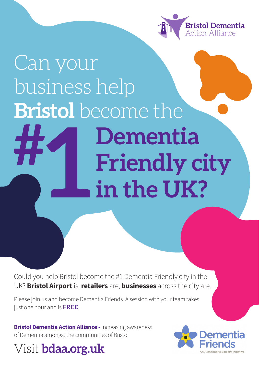

## Can your business help **Bristol** become the **Dementia Friendly city in the UK? # 1**

Could you help Bristol become the #1 Dementia Friendly city in the UK? **Bristol Airport** is, **retailers** are, **businesses** across the city are.

Please join us and become Dementia Friends. A session with your team takes just one hour and is **FREE**.

**Bristol Dementia Action Alliance - Increasing awareness** of Dementia amongst the communities of Bristol

### Visit **bdaa.org.uk**